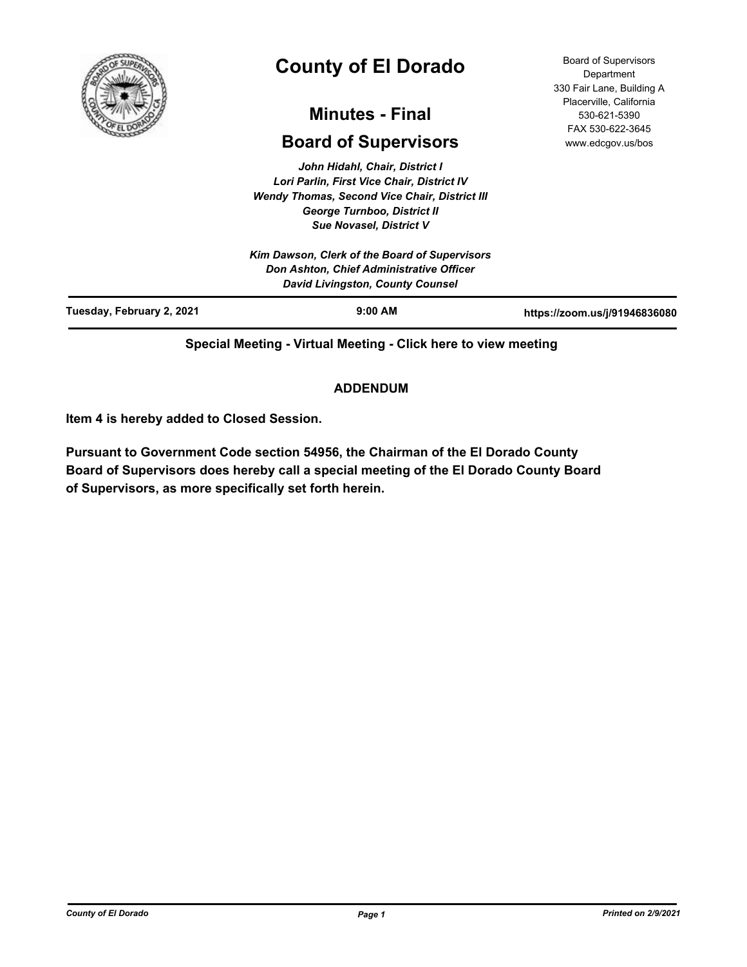

# **County of El Dorado**

## **Minutes - Final**

## **Board of Supervisors**

*John Hidahl, Chair, District I Lori Parlin, First Vice Chair, District IV Wendy Thomas, Second Vice Chair, District III George Turnboo, District II Sue Novasel, District V*

*Kim Dawson, Clerk of the Board of Supervisors Don Ashton, Chief Administrative Officer David Livingston, County Counsel*

| <b>David Livingston, County Counsel</b> |           |                               |
|-----------------------------------------|-----------|-------------------------------|
| Tuesday, February 2, 2021               | $9:00$ AM | https://zoom.us/j/91946836080 |

**Special Meeting - Virtual Meeting - Click here to view meeting**

## **ADDENDUM**

**Item 4 is hereby added to Closed Session.**

**Pursuant to Government Code section 54956, the Chairman of the El Dorado County Board of Supervisors does hereby call a special meeting of the El Dorado County Board of Supervisors, as more specifically set forth herein.**

Board of Supervisors **Department** 330 Fair Lane, Building A Placerville, California 530-621-5390 FAX 530-622-3645 www.edcgov.us/bos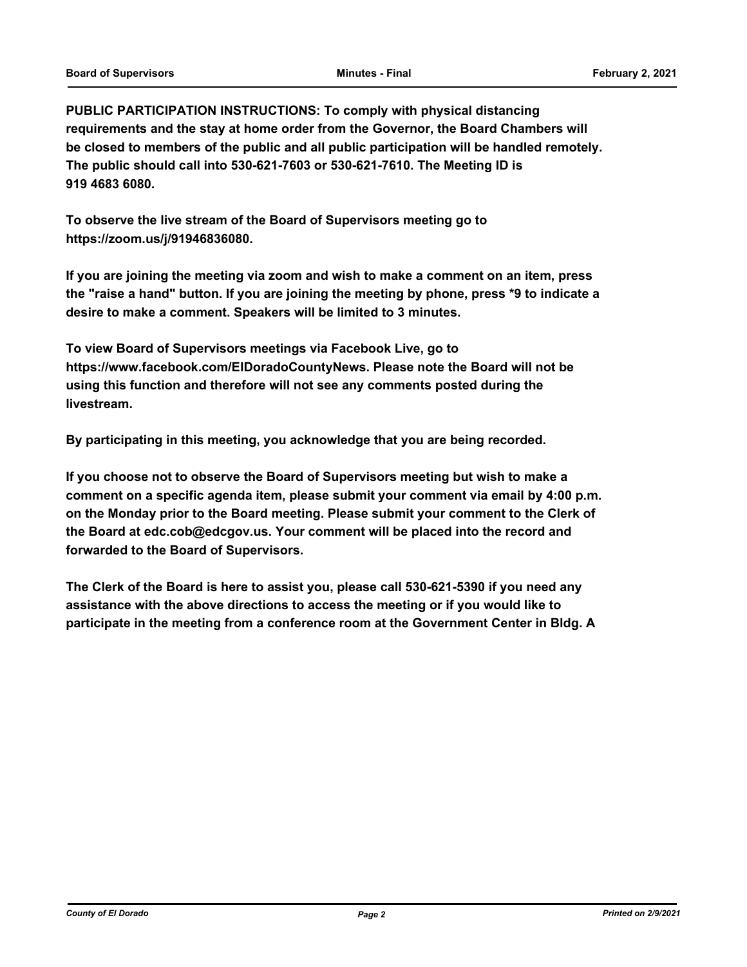**PUBLIC PARTICIPATION INSTRUCTIONS: To comply with physical distancing requirements and the stay at home order from the Governor, the Board Chambers will be closed to members of the public and all public participation will be handled remotely. The public should call into 530-621-7603 or 530-621-7610. The Meeting ID is 919 4683 6080.**

**To observe the live stream of the Board of Supervisors meeting go to https://zoom.us/j/91946836080.**

**If you are joining the meeting via zoom and wish to make a comment on an item, press the "raise a hand" button. If you are joining the meeting by phone, press \*9 to indicate a desire to make a comment. Speakers will be limited to 3 minutes.**

**To view Board of Supervisors meetings via Facebook Live, go to https://www.facebook.com/ElDoradoCountyNews. Please note the Board will not be using this function and therefore will not see any comments posted during the livestream.**

**By participating in this meeting, you acknowledge that you are being recorded.**

**If you choose not to observe the Board of Supervisors meeting but wish to make a comment on a specific agenda item, please submit your comment via email by 4:00 p.m. on the Monday prior to the Board meeting. Please submit your comment to the Clerk of the Board at edc.cob@edcgov.us. Your comment will be placed into the record and forwarded to the Board of Supervisors.**

**The Clerk of the Board is here to assist you, please call 530-621-5390 if you need any assistance with the above directions to access the meeting or if you would like to participate in the meeting from a conference room at the Government Center in Bldg. A**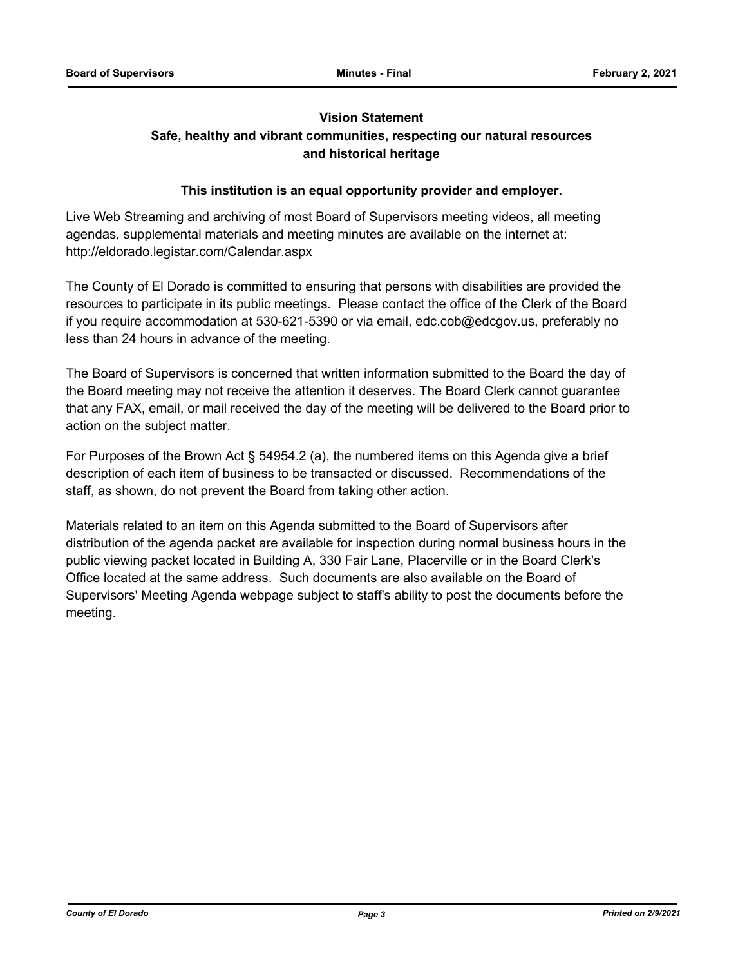## **Vision Statement Safe, healthy and vibrant communities, respecting our natural resources and historical heritage**

## **This institution is an equal opportunity provider and employer.**

Live Web Streaming and archiving of most Board of Supervisors meeting videos, all meeting agendas, supplemental materials and meeting minutes are available on the internet at: http://eldorado.legistar.com/Calendar.aspx

The County of El Dorado is committed to ensuring that persons with disabilities are provided the resources to participate in its public meetings. Please contact the office of the Clerk of the Board if you require accommodation at 530-621-5390 or via email, edc.cob@edcgov.us, preferably no less than 24 hours in advance of the meeting.

The Board of Supervisors is concerned that written information submitted to the Board the day of the Board meeting may not receive the attention it deserves. The Board Clerk cannot guarantee that any FAX, email, or mail received the day of the meeting will be delivered to the Board prior to action on the subject matter.

For Purposes of the Brown Act § 54954.2 (a), the numbered items on this Agenda give a brief description of each item of business to be transacted or discussed. Recommendations of the staff, as shown, do not prevent the Board from taking other action.

Materials related to an item on this Agenda submitted to the Board of Supervisors after distribution of the agenda packet are available for inspection during normal business hours in the public viewing packet located in Building A, 330 Fair Lane, Placerville or in the Board Clerk's Office located at the same address. Such documents are also available on the Board of Supervisors' Meeting Agenda webpage subject to staff's ability to post the documents before the meeting.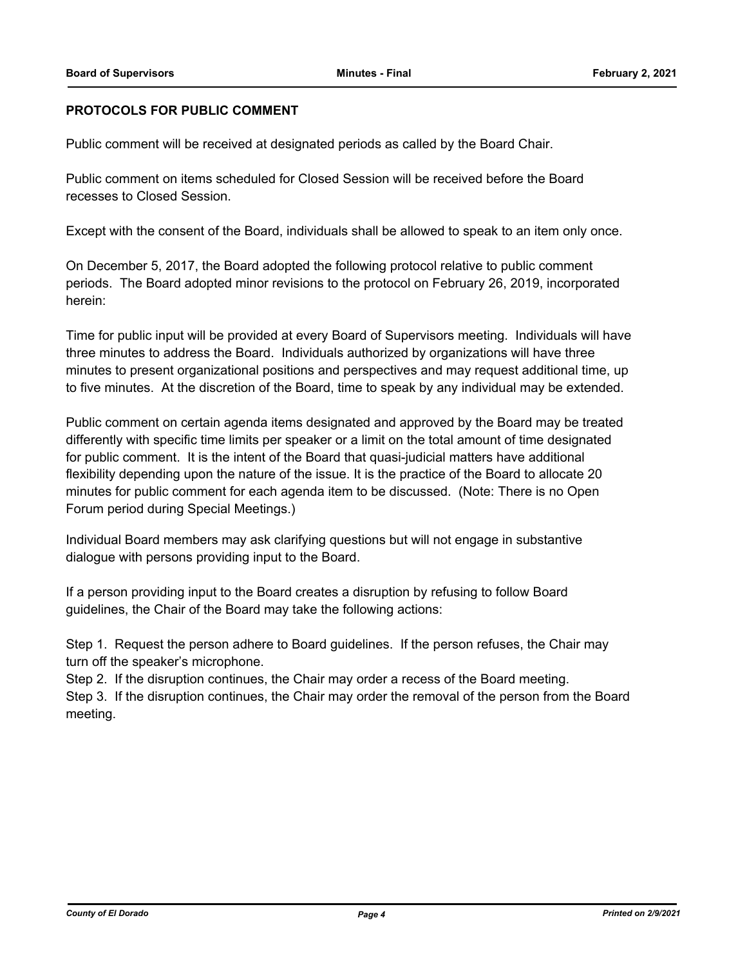## **PROTOCOLS FOR PUBLIC COMMENT**

Public comment will be received at designated periods as called by the Board Chair.

Public comment on items scheduled for Closed Session will be received before the Board recesses to Closed Session.

Except with the consent of the Board, individuals shall be allowed to speak to an item only once.

On December 5, 2017, the Board adopted the following protocol relative to public comment periods. The Board adopted minor revisions to the protocol on February 26, 2019, incorporated herein:

Time for public input will be provided at every Board of Supervisors meeting. Individuals will have three minutes to address the Board. Individuals authorized by organizations will have three minutes to present organizational positions and perspectives and may request additional time, up to five minutes. At the discretion of the Board, time to speak by any individual may be extended.

Public comment on certain agenda items designated and approved by the Board may be treated differently with specific time limits per speaker or a limit on the total amount of time designated for public comment. It is the intent of the Board that quasi-judicial matters have additional flexibility depending upon the nature of the issue. It is the practice of the Board to allocate 20 minutes for public comment for each agenda item to be discussed. (Note: There is no Open Forum period during Special Meetings.)

Individual Board members may ask clarifying questions but will not engage in substantive dialogue with persons providing input to the Board.

If a person providing input to the Board creates a disruption by refusing to follow Board guidelines, the Chair of the Board may take the following actions:

Step 1. Request the person adhere to Board guidelines. If the person refuses, the Chair may turn off the speaker's microphone.

Step 2. If the disruption continues, the Chair may order a recess of the Board meeting. Step 3. If the disruption continues, the Chair may order the removal of the person from the Board meeting.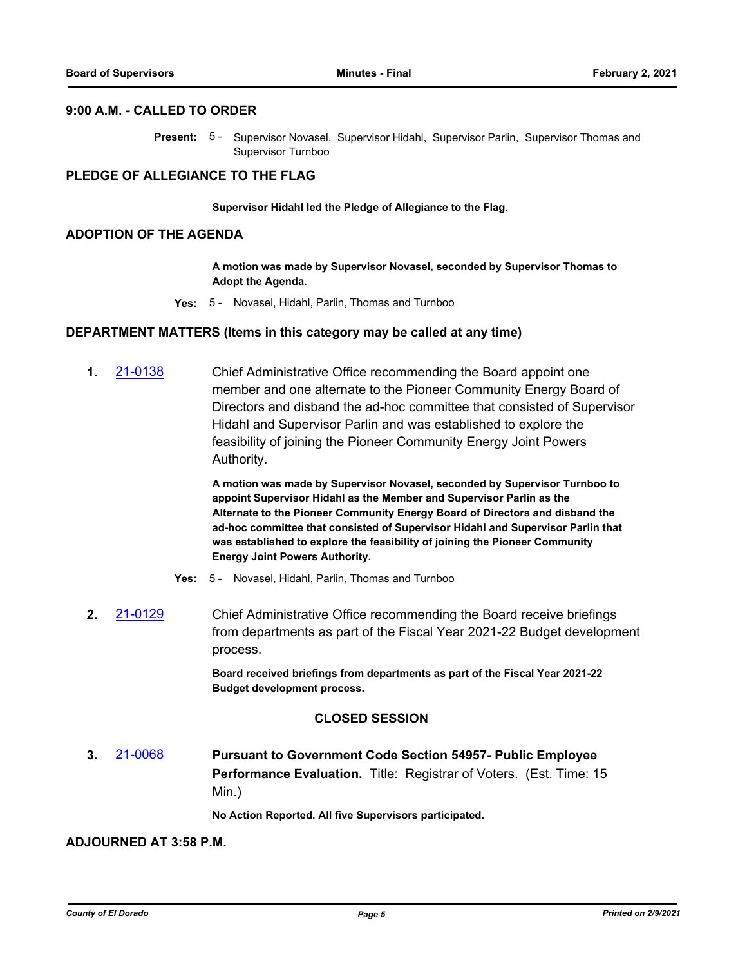## **9:00 A.M. - CALLED TO ORDER**

Present: 5- Supervisor Novasel, Supervisor Hidahl, Supervisor Parlin, Supervisor Thomas and Supervisor Turnboo

## **PLEDGE OF ALLEGIANCE TO THE FLAG**

#### **Supervisor Hidahl led the Pledge of Allegiance to the Flag.**

#### **ADOPTION OF THE AGENDA**

**A motion was made by Supervisor Novasel, seconded by Supervisor Thomas to Adopt the Agenda.**

**Yes:** 5 - Novasel, Hidahl, Parlin, Thomas and Turnboo

#### **DEPARTMENT MATTERS (Items in this category may be called at any time)**

**1.** [21-0138](http://eldorado.legistar.com/gateway.aspx?m=l&id=/matter.aspx?key=29033) Chief Administrative Office recommending the Board appoint one member and one alternate to the Pioneer Community Energy Board of Directors and disband the ad-hoc committee that consisted of Supervisor Hidahl and Supervisor Parlin and was established to explore the feasibility of joining the Pioneer Community Energy Joint Powers Authority.

> **A motion was made by Supervisor Novasel, seconded by Supervisor Turnboo to appoint Supervisor Hidahl as the Member and Supervisor Parlin as the Alternate to the Pioneer Community Energy Board of Directors and disband the ad-hoc committee that consisted of Supervisor Hidahl and Supervisor Parlin that was established to explore the feasibility of joining the Pioneer Community Energy Joint Powers Authority.**

- **Yes:** 5 Novasel, Hidahl, Parlin, Thomas and Turnboo
- **2.** [21-0129](http://eldorado.legistar.com/gateway.aspx?m=l&id=/matter.aspx?key=29024) Chief Administrative Office recommending the Board receive briefings from departments as part of the Fiscal Year 2021-22 Budget development process.

**Board received briefings from departments as part of the Fiscal Year 2021-22 Budget development process.**

#### **CLOSED SESSION**

**3.** [21-0068](http://eldorado.legistar.com/gateway.aspx?m=l&id=/matter.aspx?key=28963) **Pursuant to Government Code Section 54957- Public Employee Performance Evaluation.** Title: Registrar of Voters. (Est. Time: 15 Min.)

**No Action Reported. All five Supervisors participated.**

#### **ADJOURNED AT 3:58 P.M.**